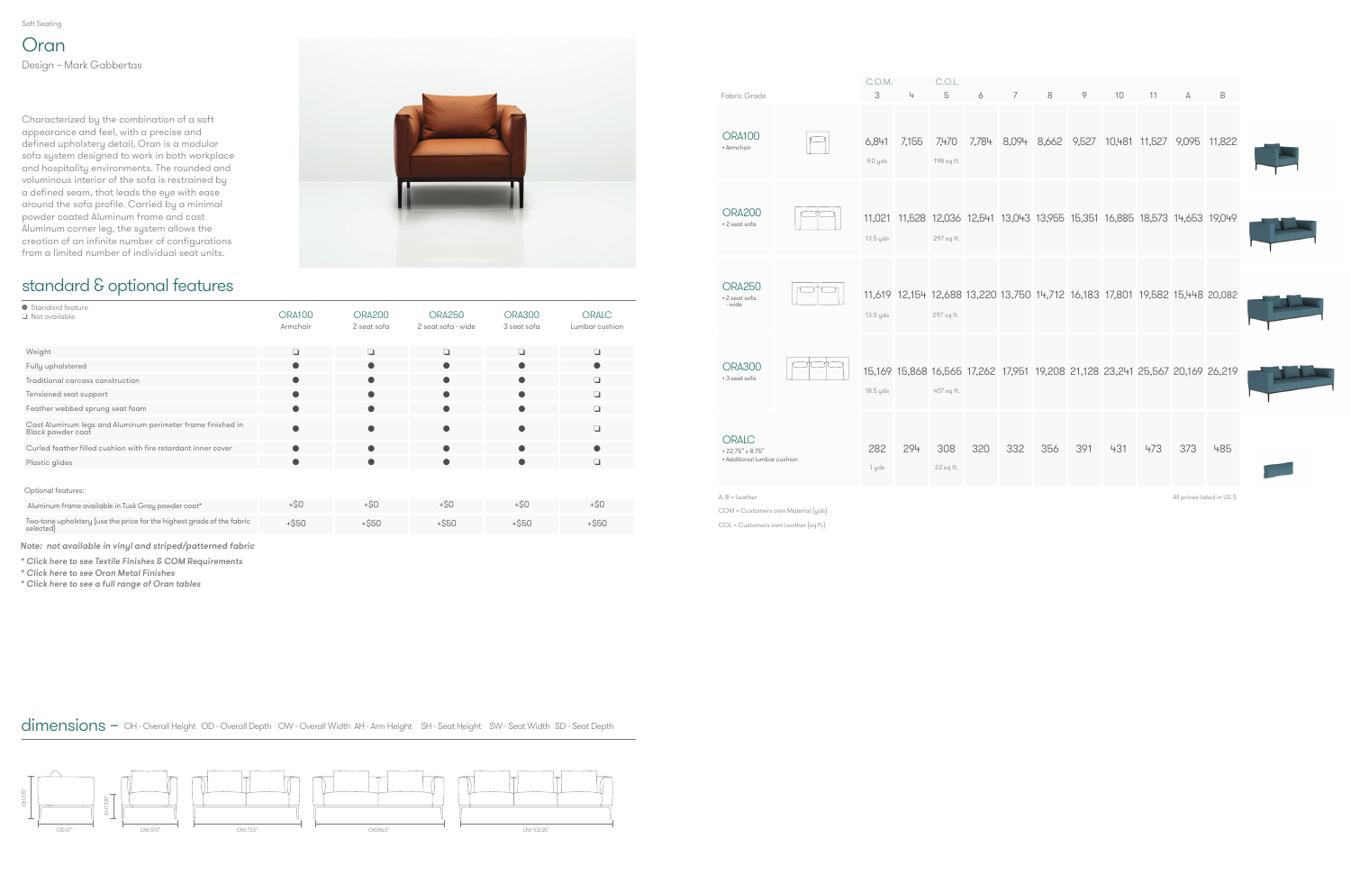Soft Seating

### standard & optional features

| ● Standard feature<br>Not available                                                 | <b>ORA100</b><br>Armchair | <b>ORA200</b><br>2 seat sofa | <b>ORA250</b><br>2 seat sofa - wide | <b>ORA300</b><br>3 seat sofa | <b>ORALC</b><br>Lumbar cushion |
|-------------------------------------------------------------------------------------|---------------------------|------------------------------|-------------------------------------|------------------------------|--------------------------------|
| Weight                                                                              | o                         | $\Box$                       | $\Box$                              | $\Box$                       | $\Box$                         |
| Fully upholstered                                                                   |                           | $\bullet$                    | Ο                                   | c                            |                                |
| Traditional carcass construction                                                    | ●                         | $\bullet$                    | e                                   | $\bullet$                    | $\Box$                         |
| Tensioned seat support                                                              |                           | $\bullet$                    | O                                   |                              | □                              |
| Feather webbed sprung seat foam                                                     | $\bullet$                 | $\bullet$                    | $\bullet$                           | 0                            | $\Box$                         |
| Cast Aluminum legs and Aluminum perimeter frame finished in<br>Black powder coat    |                           |                              |                                     |                              | n                              |
| Curled feather filled cushion with fire retardant inner cover                       |                           | $\bullet$                    | e                                   |                              |                                |
| Plastic glides                                                                      | ●                         | $\bullet$                    | $\bullet$                           | C                            | $\Box$                         |
| Optional features:                                                                  |                           |                              |                                     |                              |                                |
| Aluminum frame available in Tusk Gray powder coat*                                  | $+$ \$0                   | $+50$                        | $+SO$                               | $+SO$                        | $+50$                          |
| Two-tone upholstery (use the price for the highest grade of the fabric<br>selected) | $+$ \$50                  | $+$ \$50                     | $+$ \$50                            | $+$ \$50                     | $+$ \$50                       |

**Oran** Design – Mark Gabbertas

| 3<br>5<br>10<br>4<br>6<br>7<br>8<br>9<br>11<br>B<br>A<br>7,784 8,094 8,662 9,527 10,481 11,527 9,095 11,822<br>6,841<br>7,155<br>7,470<br>9.0 yds<br>198 sq ft.<br>11,021 11,528 12,036 12,541 13,043 13,955 15,351 16,885 18,573 14,653 19,049<br>13.5 yds<br>297 sq ft.<br>11,619 12,154 12,688 13,220 13,750 14,712 16,183 17,801 19,582 15,448 20,082<br>13.5 yds<br>297 sq ft.<br>15,169 15,868 16,565 17,262 17,951 19,208 21,128 23,241 25,567 20,169 26,219<br>18.5 yds<br>407 sq ft.<br>320<br>332<br>356<br>391<br>431<br>473<br>373<br>282<br>294<br>308<br>485<br>22 sq ft.<br>1 yds<br>All prices listed in US \$<br>COM = Customers own Material (yds) |                                                                 | C.O.M. | C.O.L. |  |  |  |  |
|----------------------------------------------------------------------------------------------------------------------------------------------------------------------------------------------------------------------------------------------------------------------------------------------------------------------------------------------------------------------------------------------------------------------------------------------------------------------------------------------------------------------------------------------------------------------------------------------------------------------------------------------------------------------|-----------------------------------------------------------------|--------|--------|--|--|--|--|
|                                                                                                                                                                                                                                                                                                                                                                                                                                                                                                                                                                                                                                                                      | Fabric Grade                                                    |        |        |  |  |  |  |
|                                                                                                                                                                                                                                                                                                                                                                                                                                                                                                                                                                                                                                                                      | <b>ORA100</b><br>• Armchair                                     |        |        |  |  |  |  |
|                                                                                                                                                                                                                                                                                                                                                                                                                                                                                                                                                                                                                                                                      | <b>ORA200</b><br>• 2 seat sofa                                  |        |        |  |  |  |  |
|                                                                                                                                                                                                                                                                                                                                                                                                                                                                                                                                                                                                                                                                      | <b>ORA250</b><br>• 2 seat sofa<br>- wide                        |        |        |  |  |  |  |
|                                                                                                                                                                                                                                                                                                                                                                                                                                                                                                                                                                                                                                                                      | <b>ORA300</b><br>• 3 seat sofa                                  |        |        |  |  |  |  |
|                                                                                                                                                                                                                                                                                                                                                                                                                                                                                                                                                                                                                                                                      | <b>ORALC</b><br>• 22.75" x 8.75"<br>• Additional lumbar cushion |        |        |  |  |  |  |
|                                                                                                                                                                                                                                                                                                                                                                                                                                                                                                                                                                                                                                                                      | $A, B =$ Leather                                                |        |        |  |  |  |  |

Characterized by the combination of a soft appearance and feel, with a precise and defined upholstery detail, Oran is a modular sofa system designed to work in both workplace and hospitality environments. The rounded and voluminous interior of the sofa is restrained by a defined seam, that leads the eye with ease around the sofa profile. Carried by a minimal powder coated Aluminum frame and cast Aluminum corner leg, the system allows the creation of an infinite number of configurations from a limited number of individual seat units.





Note: not available in vinyl and striped/patterned fabric

[\\* Click here to see Textile Finishes & COM Requ](#page-3-0)irements

[\\* Click here to see Oran Metal Finishes](#page-2-0)

[\\* Click here to see a full range of Oran tables](https://www.allermuir.com/us/products/tables-storage/oran-tables)

COL = Customers own Leather (sq ft.)

dimensions – OH - Overall Height OD - Overall Depth OW - Overall Width AH - Arm Height SH - Seat Height SW - Seat Width SD - Seat Depth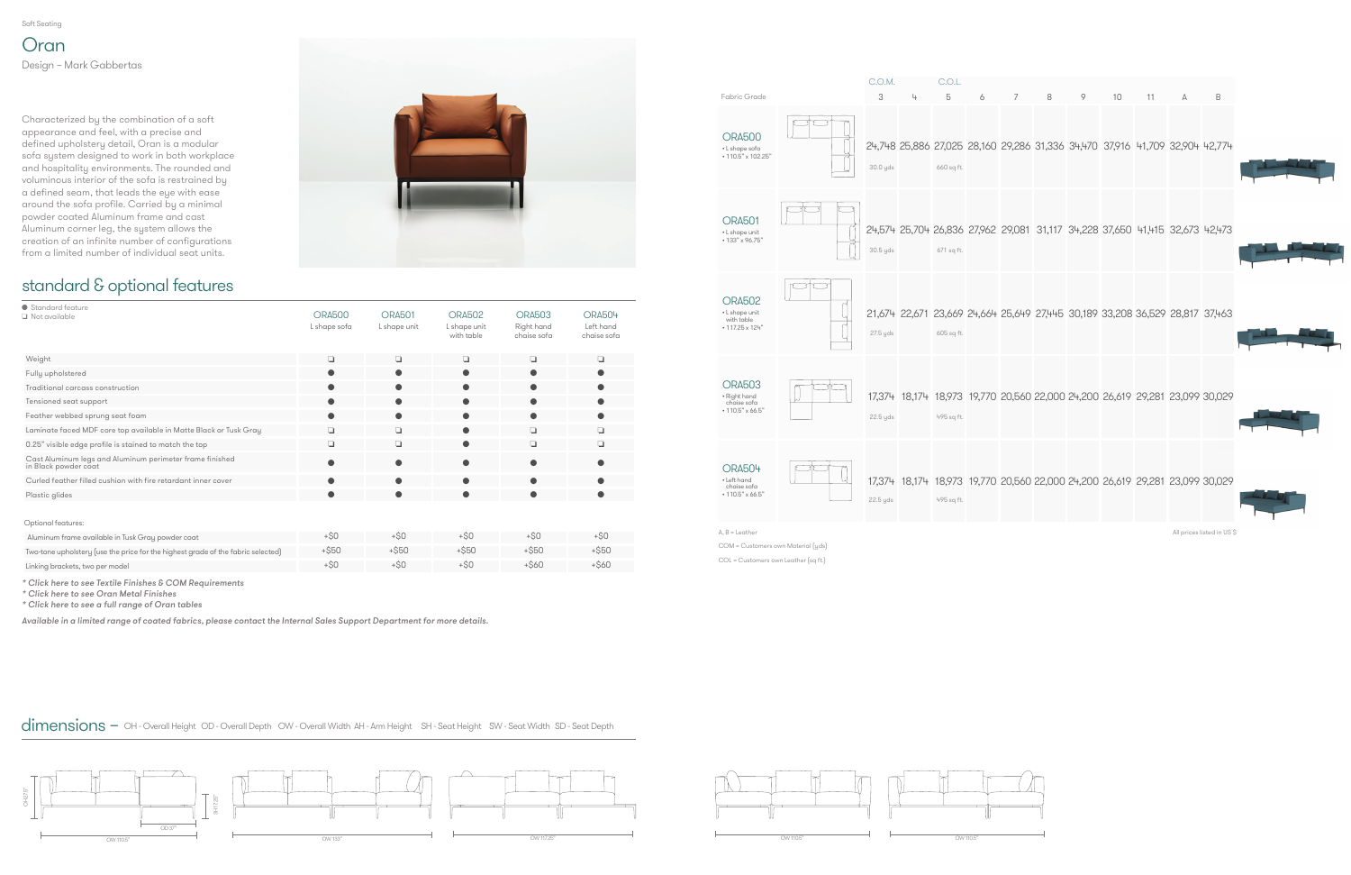Soft Seating

### standard & optional features



| ● Standard feature<br>Not available                                              | <b>ORA500</b><br>L shape sofa | <b>ORA501</b><br>L shape unit | <b>ORA502</b><br>L shape unit<br>with table | <b>ORA503</b><br>Right hand<br>chaise sofa | <b>ORA504</b><br>Left hand<br>chaise sofa |
|----------------------------------------------------------------------------------|-------------------------------|-------------------------------|---------------------------------------------|--------------------------------------------|-------------------------------------------|
| Weight                                                                           | $\Box$                        | ❏                             | $\Box$                                      | ❏                                          | $\Box$                                    |
| Fully upholstered                                                                | $\bullet$                     |                               | ●                                           | o                                          | $\bullet$                                 |
| Traditional carcass construction                                                 | $\bullet$                     | ●                             | ●                                           | ●                                          | $\bullet$                                 |
| Tensioned seat support                                                           | $\bullet$                     | $\bullet$                     | 0                                           | 0                                          | $\bullet$                                 |
| Feather webbed sprung seat foam                                                  | $\bullet$                     | $\bullet$                     |                                             | ●                                          | $\bullet$                                 |
| Laminate faced MDF core top available in Matte Black or Tusk Gray                | ❏                             | ❏                             | 0                                           | ❏                                          | $\Box$                                    |
| 0.25" visible edge profile is stained to match the top                           | ❏                             | ❏                             | 0                                           | ❏                                          | ❏                                         |
| Cast Aluminum legs and Aluminum perimeter frame finished<br>in Black powder coat | $\bullet$                     | c                             |                                             |                                            |                                           |
| Curled feather filled cushion with fire retardant inner cover                    |                               | c                             |                                             |                                            | ●                                         |
| Plastic glides                                                                   | $\bullet$                     | ●                             | ●                                           |                                            | ●                                         |
| Optional features:                                                               |                               |                               |                                             |                                            |                                           |
| Aluminum frame available in Tusk Gray powder coat                                | $+50$                         | $+50$                         | $+50$                                       | $+SO$                                      | $+ $0$                                    |
| Two-tone upholstery (use the price for the highest grade of the fabric selected) | $+$ \$50                      | $+$ \$50                      | $+$ \$50                                    | $+$ \$50                                   | $+$ \$50                                  |
| Linking brackets, two per model                                                  | $+SO$                         | $+50$                         | $+50$                                       | $+$ \$60                                   | $+$ \$60                                  |

**Oran** Design – Mark Gabbertas

|                                                                        | C.O.M.        |   | C.O.L.          |   |   |                                                                                   |   |    |    |   |                            |
|------------------------------------------------------------------------|---------------|---|-----------------|---|---|-----------------------------------------------------------------------------------|---|----|----|---|----------------------------|
| Fabric Grade<br><b>ORA500</b><br>• L shape sofa<br>• 110.5" x 102.25"  | 3<br>30.0 yds | 4 | 5<br>660 sq ft. | 6 | 7 | 8<br>24,748 25,886 27,025 28,160 29,286 31,336 34,470 37,916 41,709 32,904 42,774 | 9 | 10 | 11 | А | B                          |
| <b>ORA501</b><br>• L shape unit<br>• 133" x 96.75"                     | 30.5 yds      |   | 671 sq ft.      |   |   | 24,574 25,704 26,836 27,962 29,081 31,117 34,228 37,650 41,415 32,673 42,473      |   |    |    |   |                            |
| <b>ORA502</b><br>• L shape unit<br>with table<br>$\cdot$ 117.25 x 124" | 27.5 yds      |   | 605 sq ft.      |   |   | 21,674 22,671 23,669 24,664 25,649 27,445 30,189 33,208 36,529 28,817 37,463      |   |    |    |   |                            |
| <b>ORA503</b><br>• Right hand<br>chaise sofa<br>$*110.5" \times 66.5"$ | 22.5 yds      |   | 495 sq ft.      |   |   | 17,374 18,174 18,973 19,770 20,560 22,000 24,200 26,619 29,281 23,099 30,029      |   |    |    |   |                            |
| <b>ORA504</b><br>• Left hand<br>chaise sofa<br>$*110.5" \times 66.5"$  | 22.5 yds      |   | 495 sq ft.      |   |   | 17,374 18,174 18,973 19,770 20,560 22,000 24,200 26,619 29,281 23,099 30,029      |   |    |    |   |                            |
| $A, B =$ Leather                                                       |               |   |                 |   |   |                                                                                   |   |    |    |   | All prices listed in US \$ |





[\\* Click here to see Textile Finishes & COM Requ](#page-3-0)irements

[\\* Click here to see Oran Metal Finishes](#page-2-0)

[\\* Click here to see a full range of Oran tables](https://www.allermuir.com/us/products/tables-storage/oran-tables)

Available in a limited range of coated fabrics, please contact the Internal Sales Support Department for more details.

Characterized by the combination of a soft appearance and feel, with a precise and defined upholstery detail, Oran is a modular sofa system designed to work in both workplace and hospitality environments. The rounded and voluminous interior of the sofa is restrained by a defined seam, that leads the eye with ease around the sofa profile. Carried by a minimal powder coated Aluminum frame and cast Aluminum corner leg, the system allows the creation of an infinite number of configurations from a limited number of individual seat units.



COM = Customers own Material (yds)

COL = Customers own Leather (sq ft.)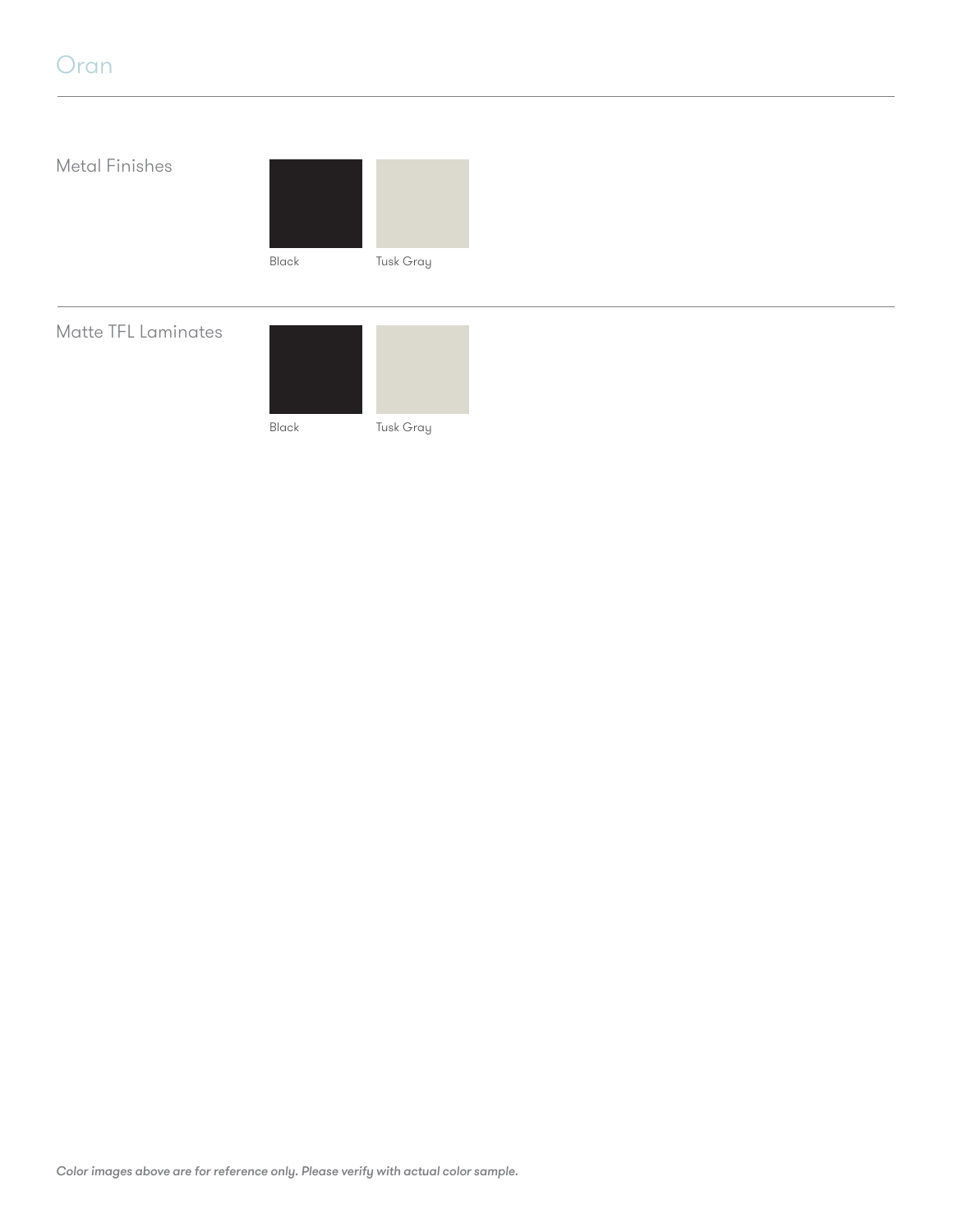## <span id="page-2-0"></span>Oran

# Metal Finishes Matte TFL Laminates Black Tusk Gray